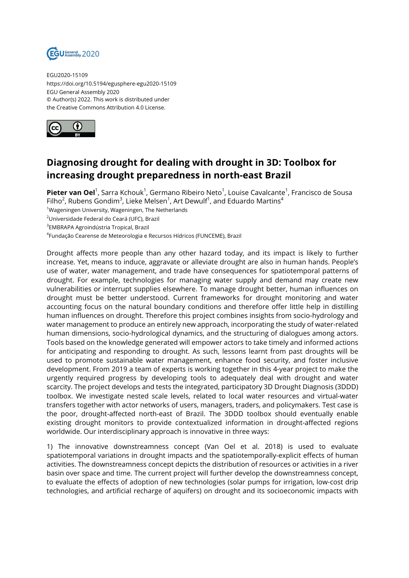

EGU2020-15109 https://doi.org/10.5194/egusphere-egu2020-15109 EGU General Assembly 2020 © Author(s) 2022. This work is distributed under the Creative Commons Attribution 4.0 License.



## **Diagnosing drought for dealing with drought in 3D: Toolbox for increasing drought preparedness in north-east Brazil**

**Pieter van Oel**<sup>1</sup>, Sarra Kchouk<sup>1</sup>, Germano Ribeiro Neto<sup>1</sup>, Louise Cavalcante<sup>1</sup>, Francisco de Sousa Filho $^2$ , Rubens Gondim $^3$ , Lieke Melsen $^1$ , Art Dewulf $^1$ , and Eduardo Martins $^4$ 

<sup>1</sup>Wageningen University, Wageningen, The Netherlands

<sup>2</sup>Universidade Federal do Ceará (UFC), Brazil

3 EMBRAPA Agroindústria Tropical, Brazil

<sup>4</sup>Fundação Cearense de Meteorologia e Recursos Hídricos (FUNCEME), Brazil

Drought affects more people than any other hazard today, and its impact is likely to further increase. Yet, means to induce, aggravate or alleviate drought are also in human hands. People's use of water, water management, and trade have consequences for spatiotemporal patterns of drought. For example, technologies for managing water supply and demand may create new vulnerabilities or interrupt supplies elsewhere. To manage drought better, human influences on drought must be better understood. Current frameworks for drought monitoring and water accounting focus on the natural boundary conditions and therefore offer little help in distilling human influences on drought. Therefore this project combines insights from socio-hydrology and water management to produce an entirely new approach, incorporating the study of water-related human dimensions, socio-hydrological dynamics, and the structuring of dialogues among actors. Tools based on the knowledge generated will empower actors to take timely and informed actions for anticipating and responding to drought. As such, lessons learnt from past droughts will be used to promote sustainable water management, enhance food security, and foster inclusive development. From 2019 a team of experts is working together in this 4-year project to make the urgently required progress by developing tools to adequately deal with drought and water scarcity. The project develops and tests the integrated, participatory 3D Drought Diagnosis (3DDD) toolbox. We investigate nested scale levels, related to local water resources and virtual-water transfers together with actor networks of users, managers, traders, and policymakers. Test case is the poor, drought-affected north-east of Brazil. The 3DDD toolbox should eventually enable existing drought monitors to provide contextualized information in drought-affected regions worldwide. Our interdisciplinary approach is innovative in three ways:

1) The innovative downstreamness concept (Van Oel et al. 2018) is used to evaluate spatiotemporal variations in drought impacts and the spatiotemporally-explicit effects of human activities. The downstreamness concept depicts the distribution of resources or activities in a river basin over space and time. The current project will further develop the downstreamness concept, to evaluate the effects of adoption of new technologies (solar pumps for irrigation, low-cost drip technologies, and artificial recharge of aquifers) on drought and its socioeconomic impacts with